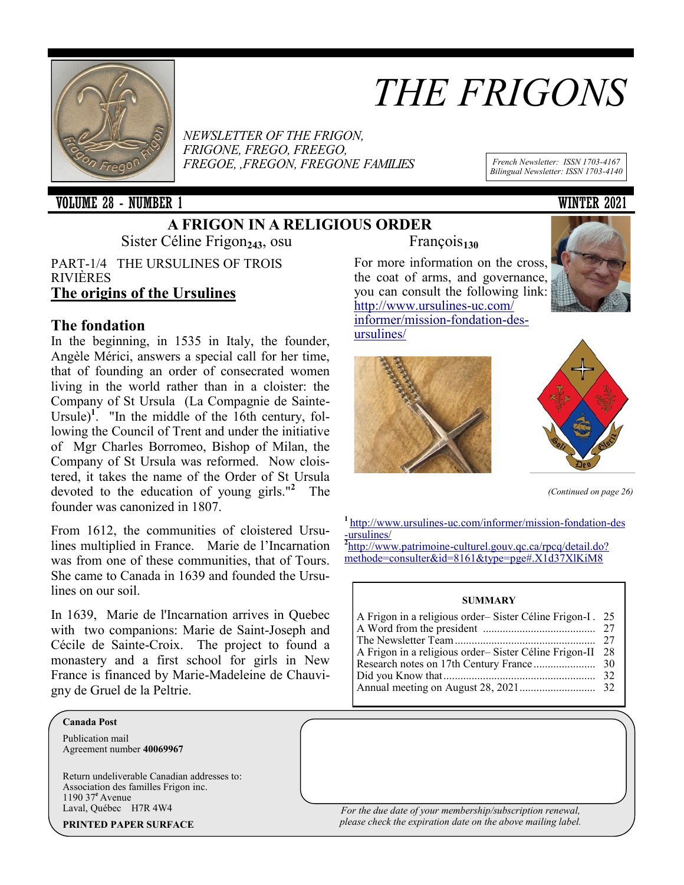

# *THE FRIGONS*

*NEWSLETTER OF THE FRIGON, FRIGONE, FREGO, FREEGO, FREGOE, ,FREGON, FREGONE FAMILIES French Newsletter: ISSN 1703-<sup>4167</sup>*

VOLUME 28 - NUMBER 1 WINTER 2021

## **A FRIGON IN A RELIGIOUS ORDER**

Sister Céline Frigon<sub>243</sub>, osu François<sub>130</sub>

PART-1/4 THE URSULINES OF TROIS RIVIÈRES **The origins of the Ursulines**

### **The fondation**

In the beginning, in 1535 in Italy, the founder, Angèle Mérici, answers a special call for her time, that of founding an order of consecrated women living in the world rather than in a cloister: the Company of St Ursula (La Compagnie de Sainte-Ursule)<sup>1</sup>. "In the middle of the 16th century, following the Council of Trent and under the initiative of Mgr Charles Borromeo, Bishop of Milan, the Company of St Ursula was reformed. Now cloistered, it takes the name of the Order of St Ursula devoted to the education of young girls."**<sup>2</sup>** The founder was canonized in 1807.

From 1612, the communities of cloistered Ursulines multiplied in France. Marie de l'Incarnation was from one of these communities, that of Tours. She came to Canada in 1639 and founded the Ursulines on our soil.

In 1639, Marie de l'Incarnation arrives in Quebec with two companions: Marie de Saint-Joseph and Cécile de Sainte-Croix. The project to found a monastery and a first school for girls in New France is financed by Marie-Madeleine de Chauvigny de Gruel de la Peltrie.

#### **Canada Post**

Publication mail Agreement number **40069967** 

Return undeliverable Canadian addresses to: Association des familles Frigon inc. 1190 37**<sup>e</sup>**Avenue Laval, Québec H7R 4W4

**PRINTED PAPER SURFACE**

For more information on the cross, the coat of arms, and governance, you can consult the following link: [http://www.ursulines](http://www.ursulines-uc.com/informer/mission-fondation-des-ursulines/)-uc.com/ [informer/mission](http://www.ursulines-uc.com/informer/mission-fondation-des-ursulines/)-fondation-des[ursulines/](http://www.ursulines-uc.com/informer/mission-fondation-des-ursulines/)







*(Continued on page 26)*

**<sup>1</sup>**http://www.ursulines-[uc.com/informer/mission](http://www.ursulines-uc.com/informer/mission-fondation-des-ursulines/)-fondation-des -[ursulines/](http://www.ursulines-uc.com/informer/mission-fondation-des-ursulines/)

**2** http://www.patrimoine-[culturel.gouv.qc.ca/rpcq/detail.do?](http://www.patrimoine-culturel.gouv.qc.ca/rpcq/detail.do?methode=consulter&id=8161&type=pge#.X1d37XlKiM8) [methode=consulter&id=8161&type=pge#.X1d37XlKiM8](http://www.patrimoine-culturel.gouv.qc.ca/rpcq/detail.do?methode=consulter&id=8161&type=pge#.X1d37XlKiM8)

#### **SUMMARY**

| A Frigon in a religious order-Sister Céline Frigon-I. 25 |
|----------------------------------------------------------|
|                                                          |
| 28                                                       |
|                                                          |
|                                                          |
|                                                          |
|                                                          |

*For the due date of your membership/subscription renewal, please check the expiration date on the above mailing label.*

*Bilingual Newsletter: ISSN 1703-4140*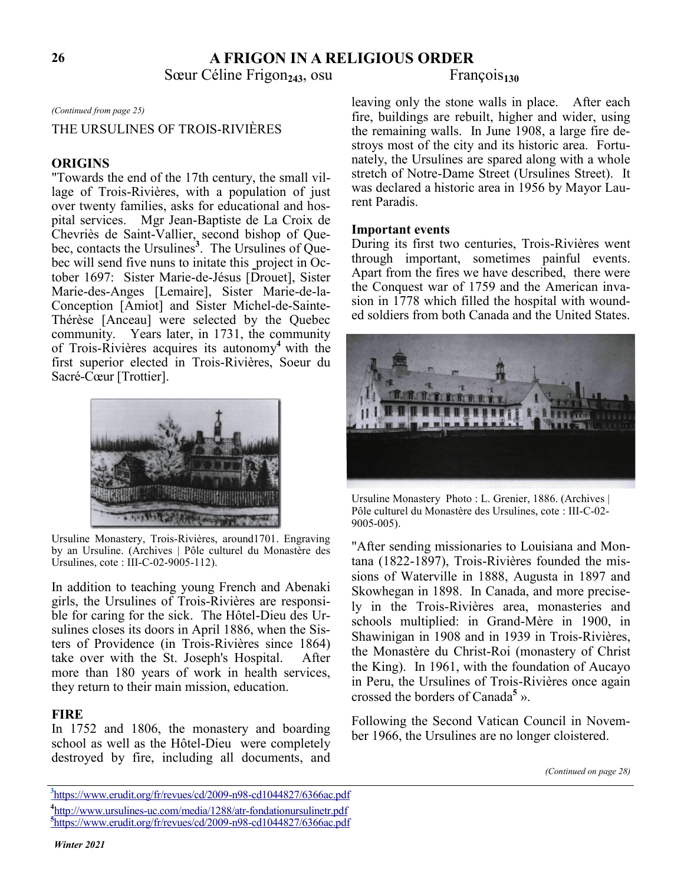### **A FRIGON IN A RELIGIOUS ORDER**

Sœur Céline Frigon<sub>243</sub>, osu François<sub>130</sub>

#### *(Continued from page 25)*

### THE URSULINES OF TROIS-RIVIÈRES

#### **ORIGINS**

"Towards the end of the 17th century, the small village of Trois-Rivières, with a population of just over twenty families, asks for educational and hospital services. Mgr Jean-Baptiste de La Croix de Chevriès de Saint-Vallier, second bishop of Quebec, contacts the Ursulines**<sup>3</sup>** . The Ursulines of Quebec will send five nuns to initate this project in October 1697: Sister Marie-de-Jésus [Drouet], Sister Marie-des-Anges [Lemaire], Sister Marie-de-la-Conception [Amiot] and Sister Michel-de-Sainte-Thérèse [Anceau] were selected by the Quebec community. Years later, in 1731, the community of Trois-Rivières acquires its autonomy**<sup>4</sup>** with the first superior elected in Trois-Rivières, Soeur du Sacré-Cœur [Trottier].



Ursuline Monastery, Trois-Rivières, around1701. Engraving by an Ursuline. (Archives | Pôle culturel du Monastère des Ursulines, cote : III-C-02-9005-112).

In addition to teaching young French and Abenaki girls, the Ursulines of Trois-Rivières are responsible for caring for the sick. The Hôtel-Dieu des Ursulines closes its doors in April 1886, when the Sisters of Providence (in Trois-Rivières since 1864) take over with the St. Joseph's Hospital. After more than 180 years of work in health services, they return to their main mission, education.

#### **FIRE**

In 1752 and 1806, the monastery and boarding school as well as the Hôtel-Dieu were completely destroyed by fire, including all documents, and

leaving only the stone walls in place. After each fire, buildings are rebuilt, higher and wider, using the remaining walls. In June 1908, a large fire destroys most of the city and its historic area. Fortunately, the Ursulines are spared along with a whole stretch of Notre-Dame Street (Ursulines Street). It was declared a historic area in 1956 by Mayor Laurent Paradis.

#### **Important events**

During its first two centuries, Trois-Rivières went through important, sometimes painful events. Apart from the fires we have described, there were the Conquest war of 1759 and the American invasion in 1778 which filled the hospital with wounded soldiers from both Canada and the United States.



Ursuline Monastery Photo : L. Grenier, 1886. (Archives | Pôle culturel du Monastère des Ursulines, cote : III-C-02- 9005-005).

"After sending missionaries to Louisiana and Montana (1822-1897), Trois-Rivières founded the missions of Waterville in 1888, Augusta in 1897 and Skowhegan in 1898. In Canada, and more precisely in the Trois-Rivières area, monasteries and schools multiplied: in Grand-Mère in 1900, in Shawinigan in 1908 and in 1939 in Trois-Rivières, the Monastère du Christ-Roi (monastery of Christ the King). In 1961, with the foundation of Aucayo in Peru, the Ursulines of Trois-Rivières once again crossed the borders of Canada**<sup>5</sup>** ».

Following the Second Vatican Council in November 1966, the Ursulines are no longer cloistered.

*(Continued on page 28)*

**<sup>3</sup>** [https://www.erudit.org/fr/revues/cd/2009](https://www.erudit.org/fr/revues/cd/2009-n98-cd1044827/6366ac.pdf)-n98-cd1044827/6366ac.pdf **4** http://www.ursulines-[uc.com/media/1288/atr](http://www.ursulines-uc.com/media/1288/atr-fondationursulinetr.pdf)-fondationursulinetr.pdf **5** [https://www.erudit.org/fr/revues/cd/2009](https://www.erudit.org/fr/revues/cd/2009-n98-cd1044827/6366ac.pdf)-n98-cd1044827/6366ac.pdf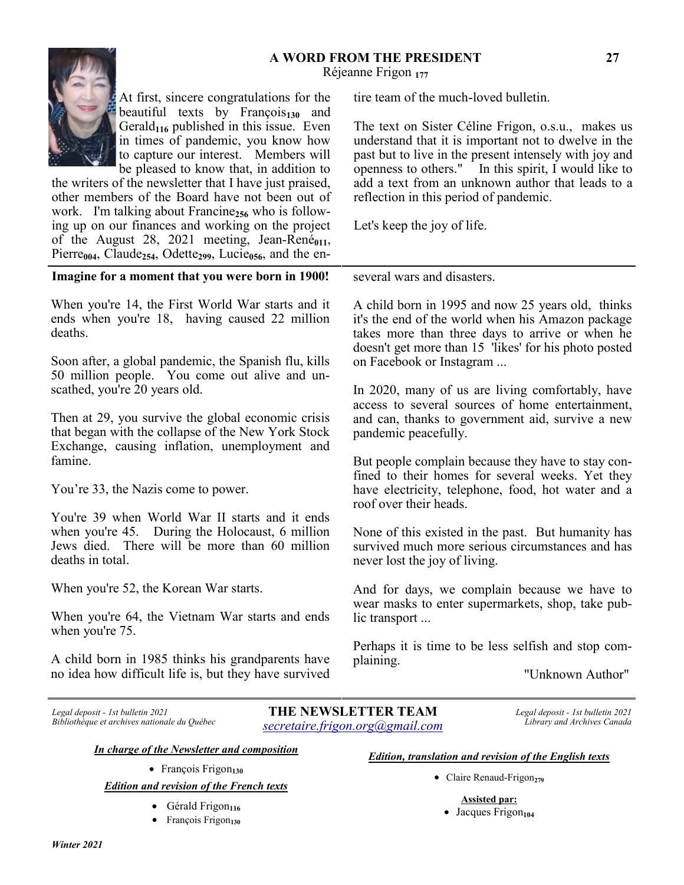#### **A WORD FROM THE PRESIDENT**  Réjeanne Frigon **<sup>177</sup>**



At first, sincere congratulations for the beautiful texts by François<sub>130</sub> and Gerald<sub>116</sub> published in this issue. Even in times of pandemic, you know how to capture our interest. Members will be pleased to know that, in addition to

the writers of the newsletter that I have just praised, other members of the Board have not been out of work. I'm talking about Francine<sub>256</sub> who is following up on our finances and working on the project of the August 28, 2021 meeting, Jean-René<sub>011</sub>, Pierre<sub>004</sub>, Claude<sub>254</sub>, Odette<sub>299</sub>, Lucie<sub>056</sub>, and the en-

**Imagine for a moment that you were born in 1900!**

When you're 14, the First World War starts and it ends when you're 18, having caused 22 million deaths.

Soon after, a global pandemic, the Spanish flu, kills 50 million people. You come out alive and unscathed, you're 20 years old.

Then at 29, you survive the global economic crisis that began with the collapse of the New York Stock Exchange, causing inflation, unemployment and famine.

You're 33, the Nazis come to power.

You're 39 when World War II starts and it ends when you're 45. During the Holocaust, 6 million Jews died. There will be more than 60 million deaths in total.

When you're 52, the Korean War starts.

When you're 64, the Vietnam War starts and ends when you're 75.

A child born in 1985 thinks his grandparents have no idea how difficult life is, but they have survived tire team of the much-loved bulletin.

The text on Sister Céline Frigon, o.s.u., makes us understand that it is important not to dwelve in the past but to live in the present intensely with joy and openness to others." In this spirit, I would like to add a text from an unknown author that leads to a reflection in this period of pandemic.

Let's keep the joy of life.

several wars and disasters.

A child born in 1995 and now 25 years old, thinks it's the end of the world when his Amazon package takes more than three days to arrive or when he doesn't get more than 15 'likes' for his photo posted on Facebook or Instagram ...

In 2020, many of us are living comfortably, have access to several sources of home entertainment, and can, thanks to government aid, survive a new pandemic peacefully.

But people complain because they have to stay confined to their homes for several weeks. Yet they have electricity, telephone, food, hot water and a roof over their heads.

None of this existed in the past. But humanity has survived much more serious circumstances and has never lost the joy of living.

And for days, we complain because we have to wear masks to enter supermarkets, shop, take public transport ...

Perhaps it is time to be less selfish and stop complaining.

"Unknown Author"

*Legal deposit - 1st bulletin 2021 Bibliothèque et archives nationale du Québec*

**THE NEWSLETTER TEAM** *secretaire.frigon.org@gmail.com*

 *Legal deposit - 1st bulletin 2021 Library and Archives Canada*

*In charge of the Newsletter and composition*

• François Frigon**<sup>130</sup>**

*Edition and revision of the French texts*

- Gérald Frigon<sub>116</sub>
- François Frigon<sub>130</sub>

*Edition, translation and revision of the English texts*

- Claire Renaud-Frigon**<sup>279</sup>**
	- **Assisted par:**
	- Jacques Frigon<sub>104</sub>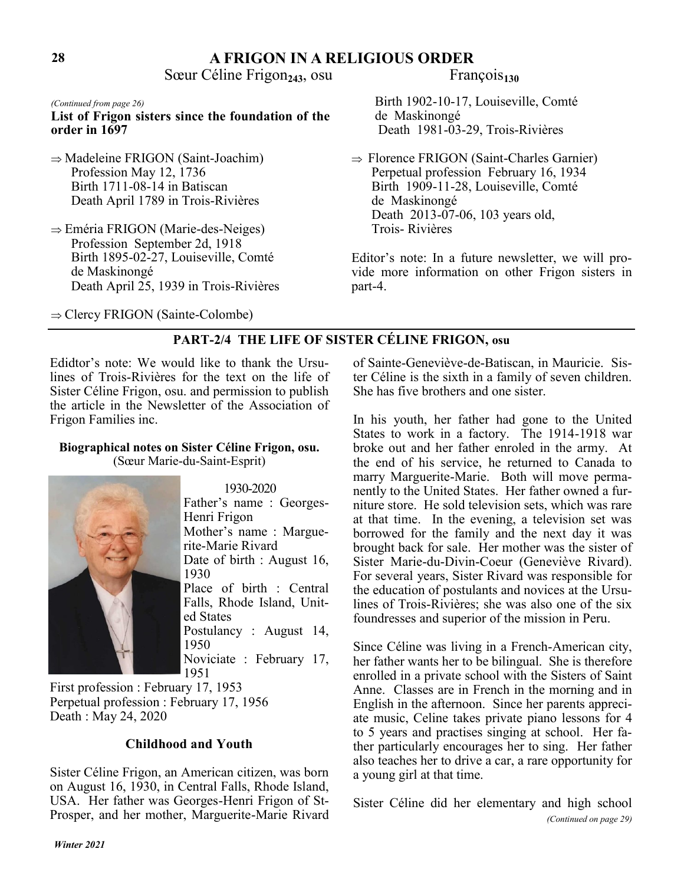### **A FRIGON IN A RELIGIOUS ORDER**

Sœur Céline Frigon<sub>243</sub>, osu François<sub>130</sub>

**List of Frigon sisters since the foundation of the order in 1697**

- $\Rightarrow$  Madeleine FRIGON (Saint-Joachim) Profession May 12, 1736 Birth 1711-08-14 in Batiscan Death April 1789 in Trois-Rivières
- $\Rightarrow$  Eméria FRIGON (Marie-des-Neiges) Profession September 2d, 1918 Birth 1895-02-27, Louiseville, Comté de Maskinongé Death April 25, 1939 in Trois-Rivières
- ⇒ Clercy FRIGON (Sainte-Colombe)

*(Continued from page 26)* Birth 1902-10-17, Louiseville, Comté de Maskinongé Death 1981-03-29, Trois-Rivières

> $\Rightarrow$  Florence FRIGON (Saint-Charles Garnier) Perpetual profession February 16, 1934 Birth 1909-11-28, Louiseville, Comté de Maskinongé Death 2013-07-06, 103 years old, Trois- Rivières

Editor's note: In a future newsletter, we will provide more information on other Frigon sisters in part-4.

### **PART-2/4 THE LIFE OF SISTER CÉLINE FRIGON, osu**

Edidtor's note: We would like to thank the Ursulines of Trois-Rivières for the text on the life of Sister Céline Frigon, osu. and permission to publish the article in the Newsletter of the Association of Frigon Families inc.

#### **Biographical notes on Sister Céline Frigon, osu.**  (Sœur Marie-du-Saint-Esprit)



 1930-2020 Father's name : Georges-Henri Frigon Mother's name : Marguerite-Marie Rivard Date of birth : August 16, 1930 Place of birth : Central Falls, Rhode Island, United States Postulancy : August 14, 1950 Noviciate : February 17, 1951

First profession : February 17, 1953 Perpetual profession : February 17, 1956 Death : May 24, 2020

### **Childhood and Youth**

Sister Céline Frigon, an American citizen, was born on August 16, 1930, in Central Falls, Rhode Island, USA. Her father was Georges-Henri Frigon of St-Prosper, and her mother, Marguerite-Marie Rivard of Sainte-Geneviève-de-Batiscan, in Mauricie. Sister Céline is the sixth in a family of seven children. She has five brothers and one sister.

In his youth, her father had gone to the United States to work in a factory. The 1914-1918 war broke out and her father enroled in the army. At the end of his service, he returned to Canada to marry Marguerite-Marie. Both will move permanently to the United States. Her father owned a furniture store. He sold television sets, which was rare at that time. In the evening, a television set was borrowed for the family and the next day it was brought back for sale. Her mother was the sister of Sister Marie-du-Divin-Coeur (Geneviève Rivard). For several years, Sister Rivard was responsible for the education of postulants and novices at the Ursulines of Trois-Rivières; she was also one of the six foundresses and superior of the mission in Peru.

Since Céline was living in a French-American city, her father wants her to be bilingual. She is therefore enrolled in a private school with the Sisters of Saint Anne. Classes are in French in the morning and in English in the afternoon. Since her parents appreciate music, Celine takes private piano lessons for 4 to 5 years and practises singing at school. Her father particularly encourages her to sing. Her father also teaches her to drive a car, a rare opportunity for a young girl at that time.

Sister Céline did her elementary and high school *(Continued on page 29)*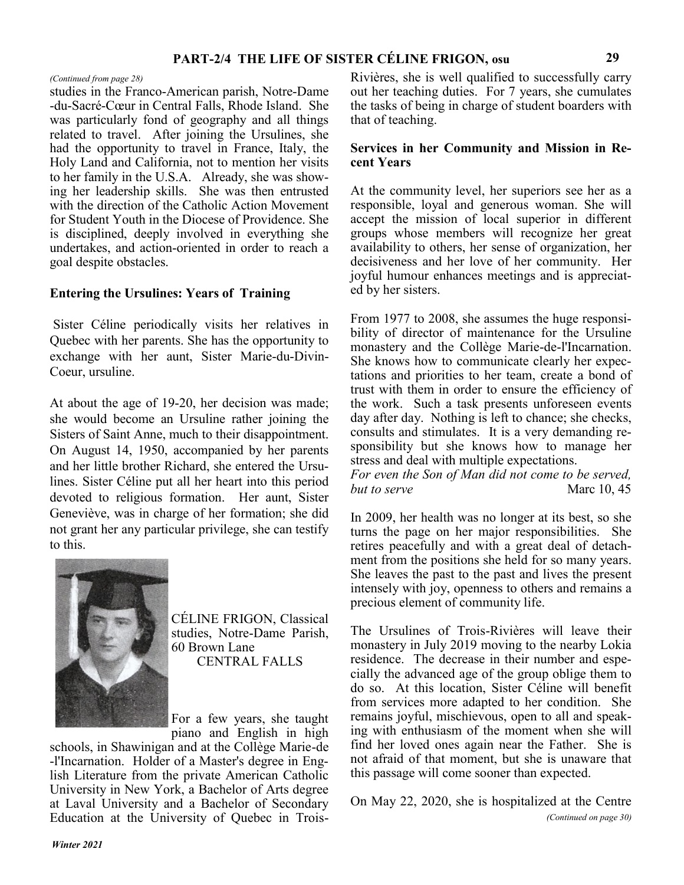studies in the Franco-American parish, Notre-Dame -du-Sacré-Cœur in Central Falls, Rhode Island. She was particularly fond of geography and all things related to travel. After joining the Ursulines, she had the opportunity to travel in France, Italy, the Holy Land and California, not to mention her visits to her family in the U.S.A. Already, she was showing her leadership skills. She was then entrusted with the direction of the Catholic Action Movement for Student Youth in the Diocese of Providence. She is disciplined, deeply involved in everything she undertakes, and action-oriented in order to reach a goal despite obstacles.

### **Entering the Ursulines: Years of Training**

Sister Céline periodically visits her relatives in Quebec with her parents. She has the opportunity to exchange with her aunt, Sister Marie-du-Divin-Coeur, ursuline.

At about the age of 19-20, her decision was made; she would become an Ursuline rather joining the Sisters of Saint Anne, much to their disappointment. On August 14, 1950, accompanied by her parents and her little brother Richard, she entered the Ursulines. Sister Céline put all her heart into this period devoted to religious formation. Her aunt, Sister Geneviève, was in charge of her formation; she did not grant her any particular privilege, she can testify to this.



CÉLINE FRIGON, Classical studies, Notre-Dame Parish, 60 Brown Lane CENTRAL FALLS

For a few years, she taught piano and English in high

schools, in Shawinigan and at the Collège Marie-de -l'Incarnation. Holder of a Master's degree in English Literature from the private American Catholic University in New York, a Bachelor of Arts degree at Laval University and a Bachelor of Secondary Education at the University of Quebec in Trois-

*(Continued from page 28)* Rivières, she is well qualified to successfully carry out her teaching duties. For 7 years, she cumulates the tasks of being in charge of student boarders with that of teaching.

#### **Services in her Community and Mission in Recent Years**

At the community level, her superiors see her as a responsible, loyal and generous woman. She will accept the mission of local superior in different groups whose members will recognize her great availability to others, her sense of organization, her decisiveness and her love of her community. Her joyful humour enhances meetings and is appreciated by her sisters.

From 1977 to 2008, she assumes the huge responsibility of director of maintenance for the Ursuline monastery and the Collège Marie-de-l'Incarnation. She knows how to communicate clearly her expectations and priorities to her team, create a bond of trust with them in order to ensure the efficiency of the work. Such a task presents unforeseen events day after day. Nothing is left to chance; she checks, consults and stimulates. It is a very demanding responsibility but she knows how to manage her stress and deal with multiple expectations.

*For even the Son of Man did not come to be served, but to serve* Marc 10, 45

In 2009, her health was no longer at its best, so she turns the page on her major responsibilities. She retires peacefully and with a great deal of detachment from the positions she held for so many years. She leaves the past to the past and lives the present intensely with joy, openness to others and remains a precious element of community life.

The Ursulines of Trois-Rivières will leave their monastery in July 2019 moving to the nearby Lokia residence. The decrease in their number and especially the advanced age of the group oblige them to do so. At this location, Sister Céline will benefit from services more adapted to her condition. She remains joyful, mischievous, open to all and speaking with enthusiasm of the moment when she will find her loved ones again near the Father. She is not afraid of that moment, but she is unaware that this passage will come sooner than expected.

On May 22, 2020, she is hospitalized at the Centre *(Continued on page 30)*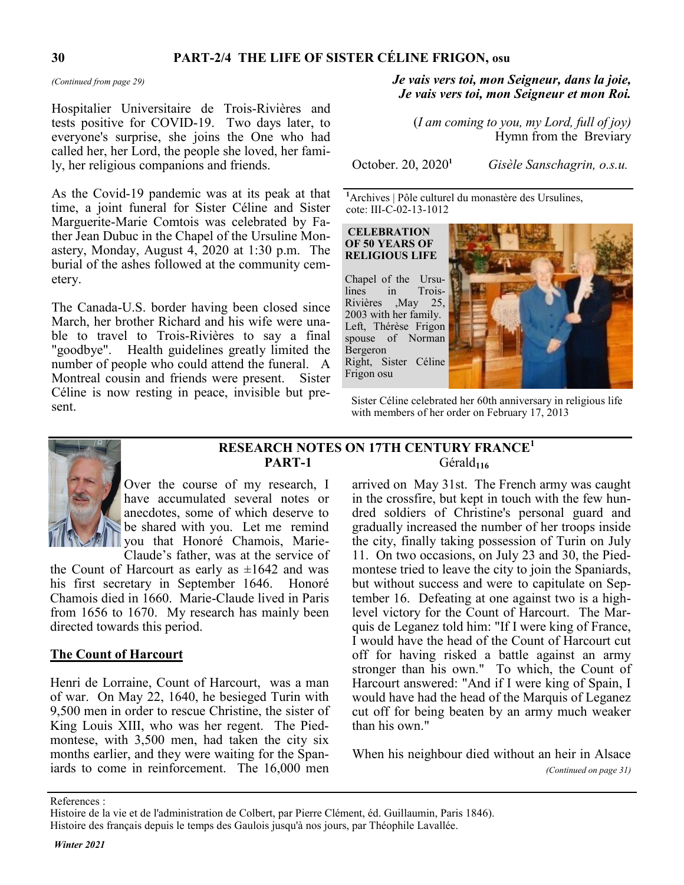Hospitalier Universitaire de Trois-Rivières and tests positive for COVID-19. Two days later, to everyone's surprise, she joins the One who had called her, her Lord, the people she loved, her family, her religious companions and friends.

As the Covid-19 pandemic was at its peak at that time, a joint funeral for Sister Céline and Sister Marguerite-Marie Comtois was celebrated by Father Jean Dubuc in the Chapel of the Ursuline Monastery, Monday, August 4, 2020 at 1:30 p.m. The burial of the ashes followed at the community cemetery.

The Canada-U.S. border having been closed since March, her brother Richard and his wife were unable to travel to Trois-Rivières to say a final "goodbye". Health guidelines greatly limited the number of people who could attend the funeral. A Montreal cousin and friends were present. Sister Céline is now resting in peace, invisible but present.

### *(Continued from page 29) Je vais vers toi, mon Seigneur, dans la joie, Je vais vers toi, mon Seigneur et mon Roi.*

(*I am coming to you, my Lord, full of joy)* Hymn from theBreviary

October. 20, 2020**<sup>1</sup>**

*Gisèle Sanschagrin, o.s.u.*

**<sup>1</sup>**Archives | Pôle culturel du monastère des Ursulines, cote: III-C-02-13-1012

**CELEBRATION OF 50 YEARS OF RELIGIOUS LIFE**

Chapel of the Ursulines in Trois-Rivières ,May 25, 2003 with her family. Left, Thérèse Frigon spouse of Norman Bergeron Right, Sister Céline Frigon osu



Sister Céline celebrated her 60th anniversary in religious life with members of her order on February 17, 2013



**RESEARCH NOTES ON 17TH CENTURY FRANCE<sup>1</sup> PART-1** Gérald**<sup>116</sup>**

Over the course of my research, I have accumulated several notes or anecdotes, some of which deserve to be shared with you. Let me remind you that Honoré Chamois, Marie-Claude's father, was at the service of

the Count of Harcourt as early as  $\pm 1642$  and was his first secretary in September 1646. Honoré Chamois died in 1660. Marie-Claude lived in Paris from 1656 to 1670. My research has mainly been directed towards this period.

#### **The Count of Harcourt**

Henri de Lorraine, Count of Harcourt, was a man of war. On May 22, 1640, he besieged Turin with 9,500 men in order to rescue Christine, the sister of King Louis XIII, who was her regent. The Piedmontese, with 3,500 men, had taken the city six months earlier, and they were waiting for the Spaniards to come in reinforcement. The 16,000 men

arrived on May 31st. The French army was caught in the crossfire, but kept in touch with the few hundred soldiers of Christine's personal guard and gradually increased the number of her troops inside the city, finally taking possession of Turin on July 11. On two occasions, on July 23 and 30, the Piedmontese tried to leave the city to join the Spaniards, but without success and were to capitulate on September 16. Defeating at one against two is a highlevel victory for the Count of Harcourt. The Marquis de Leganez told him: "If I were king of France, I would have the head of the Count of Harcourt cut off for having risked a battle against an army stronger than his own." To which, the Count of Harcourt answered: "And if I were king of Spain, I would have had the head of the Marquis of Leganez cut off for being beaten by an army much weaker than his own."

When his neighbour died without an heir in Alsace *(Continued on page 31)*

References :

Histoire de la vie et de l'administration de Colbert, par Pierre Clément, éd. Guillaumin, Paris 1846).

Histoire des français depuis le temps des Gaulois jusqu'à nos jours, par Théophile Lavallée.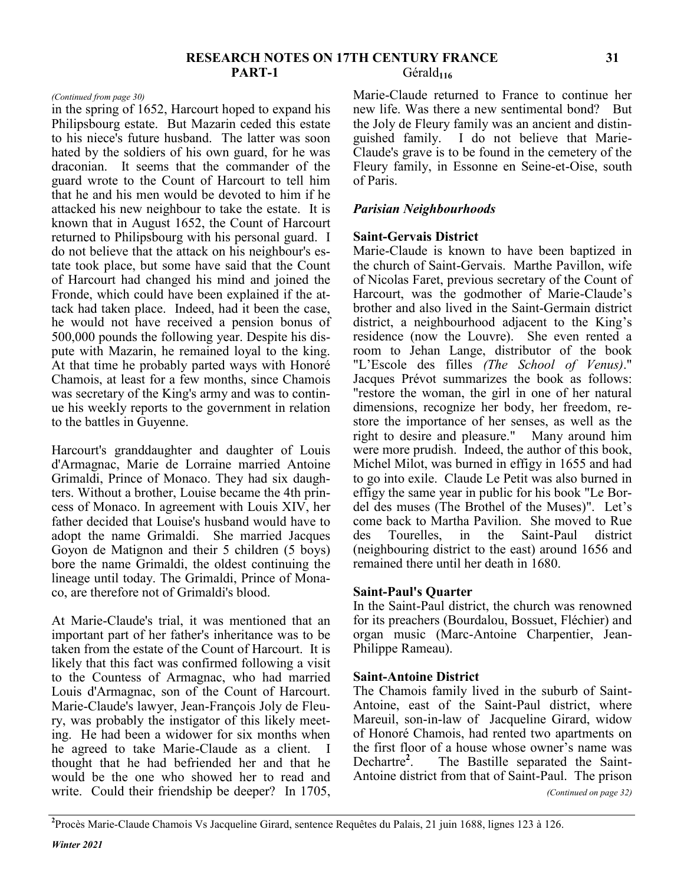#### **RESEARCH NOTES ON 17TH CENTURY FRANCE PART-1** Gérald<sub>116</sub>

in the spring of 1652, Harcourt hoped to expand his Philipsbourg estate. But Mazarin ceded this estate to his niece's future husband. The latter was soon hated by the soldiers of his own guard, for he was draconian. It seems that the commander of the guard wrote to the Count of Harcourt to tell him that he and his men would be devoted to him if he attacked his new neighbour to take the estate. It is known that in August 1652, the Count of Harcourt returned to Philipsbourg with his personal guard. I do not believe that the attack on his neighbour's estate took place, but some have said that the Count of Harcourt had changed his mind and joined the Fronde, which could have been explained if the attack had taken place. Indeed, had it been the case, he would not have received a pension bonus of 500,000 pounds the following year. Despite his dispute with Mazarin, he remained loyal to the king. At that time he probably parted ways with Honoré Chamois, at least for a few months, since Chamois was secretary of the King's army and was to continue his weekly reports to the government in relation to the battles in Guyenne.

Harcourt's granddaughter and daughter of Louis d'Armagnac, Marie de Lorraine married Antoine Grimaldi, Prince of Monaco. They had six daughters. Without a brother, Louise became the 4th princess of Monaco. In agreement with Louis XIV, her father decided that Louise's husband would have to adopt the name Grimaldi. She married Jacques Goyon de Matignon and their 5 children (5 boys) bore the name Grimaldi, the oldest continuing the lineage until today. The Grimaldi, Prince of Monaco, are therefore not of Grimaldi's blood.

At Marie-Claude's trial, it was mentioned that an important part of her father's inheritance was to be taken from the estate of the Count of Harcourt. It is likely that this fact was confirmed following a visit to the Countess of Armagnac, who had married Louis d'Armagnac, son of the Count of Harcourt. Marie-Claude's lawyer, Jean-François Joly de Fleury, was probably the instigator of this likely meeting. He had been a widower for six months when he agreed to take Marie-Claude as a client. I thought that he had befriended her and that he would be the one who showed her to read and write. Could their friendship be deeper? In 1705,

*(Continued from page 30)* Marie-Claude returned to France to continue her new life. Was there a new sentimental bond? But the Joly de Fleury family was an ancient and distinguished family. I do not believe that Marie-Claude's grave is to be found in the cemetery of the Fleury family, in Essonne en Seine-et-Oise, south of Paris.

#### *Parisian Neighbourhoods*

#### **Saint-Gervais District**

Marie-Claude is known to have been baptized in the church of Saint-Gervais. Marthe Pavillon, wife of Nicolas Faret, previous secretary of the Count of Harcourt, was the godmother of Marie-Claude's brother and also lived in the Saint-Germain district district, a neighbourhood adjacent to the King's residence (now the Louvre). She even rented a room to Jehan Lange, distributor of the book "L'Escole des filles *(The School of Venus)*." Jacques Prévot summarizes the book as follows: "restore the woman, the girl in one of her natural dimensions, recognize her body, her freedom, restore the importance of her senses, as well as the right to desire and pleasure." Many around him were more prudish. Indeed, the author of this book, Michel Milot, was burned in effigy in 1655 and had to go into exile. Claude Le Petit was also burned in effigy the same year in public for his book "Le Bordel des muses (The Brothel of the Muses)". Let's come back to Martha Pavilion. She moved to Rue des Tourelles, in the Saint-Paul district (neighbouring district to the east) around 1656 and remained there until her death in 1680.

#### **Saint-Paul's Quarter**

In the Saint-Paul district, the church was renowned for its preachers (Bourdalou, Bossuet, Fléchier) and organ music (Marc-Antoine Charpentier, Jean-Philippe Rameau).

#### **Saint-Antoine District**

The Chamois family lived in the suburb of Saint-Antoine, east of the Saint-Paul district, where Mareuil, son-in-law of Jacqueline Girard, widow of Honoré Chamois, had rented two apartments on the first floor of a house whose owner's name was Dechartre**<sup>2</sup>** . The Bastille separated the Saint-Antoine district from that of Saint-Paul. The prison